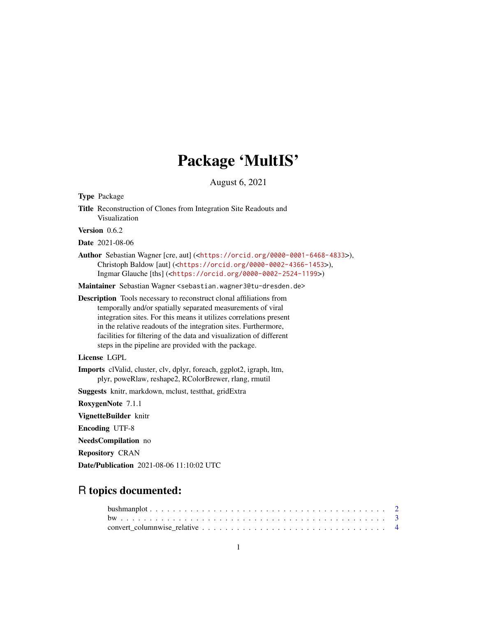# Package 'MultIS'

August 6, 2021

| <b>Type Package</b>                                                                                                                                                                                                                                                                                                                                                                                               |  |  |  |  |  |  |
|-------------------------------------------------------------------------------------------------------------------------------------------------------------------------------------------------------------------------------------------------------------------------------------------------------------------------------------------------------------------------------------------------------------------|--|--|--|--|--|--|
| Title Reconstruction of Clones from Integration Site Readouts and<br>Visualization                                                                                                                                                                                                                                                                                                                                |  |  |  |  |  |  |
| Version 0.6.2                                                                                                                                                                                                                                                                                                                                                                                                     |  |  |  |  |  |  |
| <b>Date</b> 2021-08-06                                                                                                                                                                                                                                                                                                                                                                                            |  |  |  |  |  |  |
| Author Sebastian Wagner [cre, aut] ( <https: 0000-0001-6468-4833="" orcid.org="">),<br/>Christoph Baldow [aut] (<https: 0000-0002-4366-1453="" orcid.org="">),<br/>Ingmar Glauche [ths] (<https: 0000-0002-2524-1199="" orcid.org="">)</https:></https:></https:>                                                                                                                                                 |  |  |  |  |  |  |
| Maintainer Sebastian Wagner <sebastian.wagner3@tu-dresden.de></sebastian.wagner3@tu-dresden.de>                                                                                                                                                                                                                                                                                                                   |  |  |  |  |  |  |
| <b>Description</b> Tools necessary to reconstruct clonal affiliations from<br>temporally and/or spatially separated measurements of viral<br>integration sites. For this means it utilizes correlations present<br>in the relative readouts of the integration sites. Furthermore,<br>facilities for filtering of the data and visualization of different<br>steps in the pipeline are provided with the package. |  |  |  |  |  |  |
| License LGPL                                                                                                                                                                                                                                                                                                                                                                                                      |  |  |  |  |  |  |
| Imports clValid, cluster, clv, dplyr, foreach, ggplot2, igraph, ltm,<br>plyr, poweRlaw, reshape2, RColorBrewer, rlang, rmutil                                                                                                                                                                                                                                                                                     |  |  |  |  |  |  |
| Suggests knitr, markdown, mclust, test that, gridExtra                                                                                                                                                                                                                                                                                                                                                            |  |  |  |  |  |  |
| RoxygenNote 7.1.1                                                                                                                                                                                                                                                                                                                                                                                                 |  |  |  |  |  |  |
| VignetteBuilder knitr                                                                                                                                                                                                                                                                                                                                                                                             |  |  |  |  |  |  |
| <b>Encoding UTF-8</b>                                                                                                                                                                                                                                                                                                                                                                                             |  |  |  |  |  |  |
| <b>NeedsCompilation</b> no                                                                                                                                                                                                                                                                                                                                                                                        |  |  |  |  |  |  |
| <b>Repository CRAN</b>                                                                                                                                                                                                                                                                                                                                                                                            |  |  |  |  |  |  |
| Date/Publication 2021-08-06 11:10:02 UTC                                                                                                                                                                                                                                                                                                                                                                          |  |  |  |  |  |  |

## R topics documented: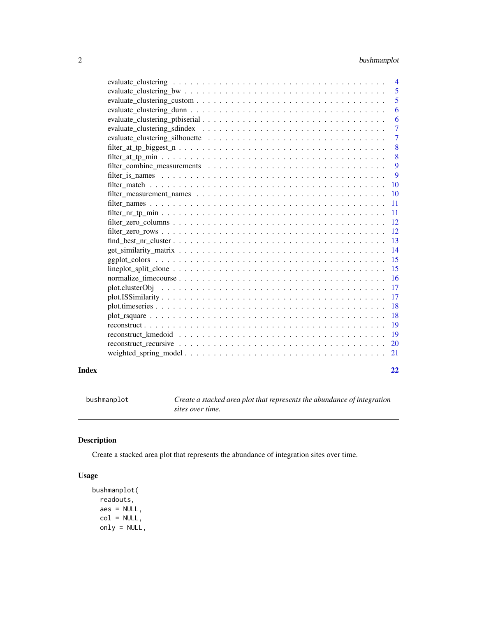### <span id="page-1-0"></span>2 bushmanplot

|       |                                                                                                                          | 4              |
|-------|--------------------------------------------------------------------------------------------------------------------------|----------------|
|       |                                                                                                                          | 5              |
|       |                                                                                                                          | 5              |
|       |                                                                                                                          | 6              |
|       |                                                                                                                          | 6              |
|       |                                                                                                                          | $\overline{7}$ |
|       |                                                                                                                          | $\tau$         |
|       |                                                                                                                          | 8              |
|       |                                                                                                                          | 8              |
|       |                                                                                                                          | 9              |
|       |                                                                                                                          | 9              |
|       |                                                                                                                          | <b>10</b>      |
|       |                                                                                                                          | 10             |
|       |                                                                                                                          | 11             |
|       |                                                                                                                          | 11             |
|       |                                                                                                                          | 12             |
|       |                                                                                                                          | 12             |
|       | $find\_best_nr\_cluster \dots \dots \dots \dots \dots \dots \dots \dots \dots \dots \dots \dots \dots \dots \dots$       | 13             |
|       |                                                                                                                          | 14             |
|       |                                                                                                                          | 15             |
|       | $lineplot\_split\_clone \dots \dots \dots \dots \dots \dots \dots \dots \dots \dots \dots \dots \dots \dots \dots \dots$ | 15             |
|       |                                                                                                                          | 16             |
|       |                                                                                                                          | 17             |
|       |                                                                                                                          | 17             |
|       |                                                                                                                          | 18             |
|       |                                                                                                                          | 18             |
|       |                                                                                                                          | 19             |
|       |                                                                                                                          | 19             |
|       |                                                                                                                          | 20             |
|       |                                                                                                                          | 21             |
| Index |                                                                                                                          | 22             |

bushmanplot *Create a stacked area plot that represents the abundance of integration sites over time.*

### Description

Create a stacked area plot that represents the abundance of integration sites over time.

### Usage

```
bushmanplot(
 readouts,
 aes = NULL,
 col = NULL,only = NULL,
```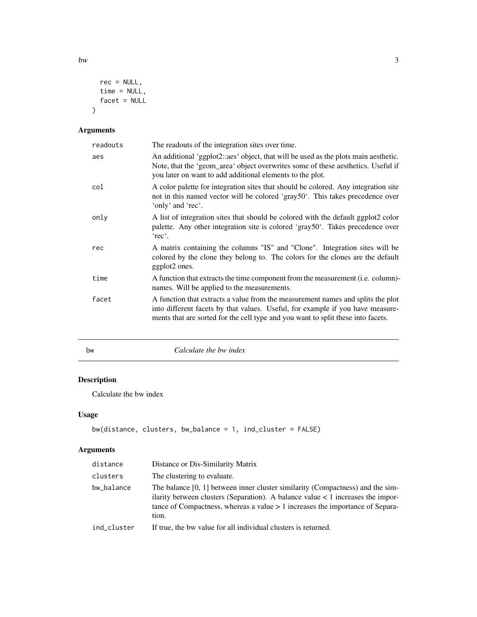```
rec = NULL,time = NULL,
```

```
facet = NULL\mathcal{L}
```
### Arguments

| readouts | The readouts of the integration sites over time.                                                                                                                                                                                                      |
|----------|-------------------------------------------------------------------------------------------------------------------------------------------------------------------------------------------------------------------------------------------------------|
| aes      | An additional 'ggplot2::aes' object, that will be used as the plots main aesthetic.<br>Note, that the 'geom_area' object overwrites some of these aesthetics. Useful if<br>you later on want to add additional elements to the plot.                  |
| col      | A color palette for integration sites that should be colored. Any integration site<br>not in this named vector will be colored 'gray50'. This takes precedence over<br>'only' and 'rec'.                                                              |
| only     | A list of integration sites that should be colored with the default ggplot2 color<br>palette. Any other integration site is colored 'gray50'. Takes precedence over<br>'rec'.                                                                         |
| rec      | A matrix containing the columns "IS" and "Clone". Integration sites will be<br>colored by the clone they belong to. The colors for the clones are the default<br>ggplot2 ones.                                                                        |
| time     | A function that extracts the time component from the measurement ( <i>i.e.</i> column)-<br>names. Will be applied to the measurements.                                                                                                                |
| facet    | A function that extracts a value from the measurement names and splits the plot<br>into different facets by that values. Useful, for example if you have measure-<br>ments that are sorted for the cell type and you want to split these into facets. |

### bw *Calculate the bw index*

## Description

Calculate the bw index

### Usage

```
bw(distance, clusters, bw_balance = 1, ind_cluster = FALSE)
```
### Arguments

| distance    | Distance or Dis-Similarity Matrix                                                                                                                                                                                                                                   |
|-------------|---------------------------------------------------------------------------------------------------------------------------------------------------------------------------------------------------------------------------------------------------------------------|
| clusters    | The clustering to evaluate.                                                                                                                                                                                                                                         |
| bw_balance  | The balance $[0, 1]$ between inner cluster similarity (Compactness) and the sim-<br>ilarity between clusters (Separation). A balance value $\lt 1$ increases the impor-<br>tance of Compactness, whereas a value $> 1$ increases the importance of Separa-<br>tion. |
| ind cluster | If true, the bw value for all individual clusters is returned.                                                                                                                                                                                                      |

<span id="page-2-0"></span> $bw$  3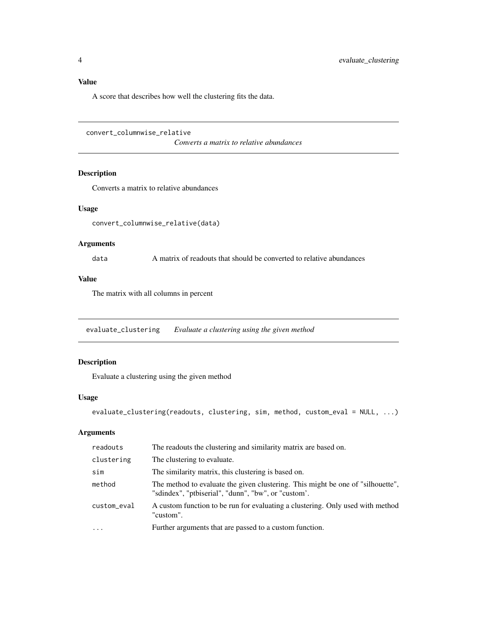<span id="page-3-0"></span>A score that describes how well the clustering fits the data.

```
convert_columnwise_relative
```
*Converts a matrix to relative abundances*

### Description

Converts a matrix to relative abundances

#### Usage

convert\_columnwise\_relative(data)

### Arguments

data A matrix of readouts that should be converted to relative abundances

### Value

The matrix with all columns in percent

evaluate\_clustering *Evaluate a clustering using the given method*

### Description

Evaluate a clustering using the given method

#### Usage

```
evaluate_clustering(readouts, clustering, sim, method, custom_eval = NULL, ...)
```

| readouts    | The readouts the clustering and similarity matrix are based on.                                                                        |
|-------------|----------------------------------------------------------------------------------------------------------------------------------------|
| clustering  | The clustering to evaluate.                                                                                                            |
| sim         | The similarity matrix, this clustering is based on.                                                                                    |
| method      | The method to evaluate the given clustering. This might be one of "silhouette".<br>"sdindex", "ptbiserial", "dunn", "bw", or "custom'. |
| custom_eval | A custom function to be run for evaluating a clustering. Only used with method<br>"custom".                                            |
| $\cdot$     | Further arguments that are passed to a custom function.                                                                                |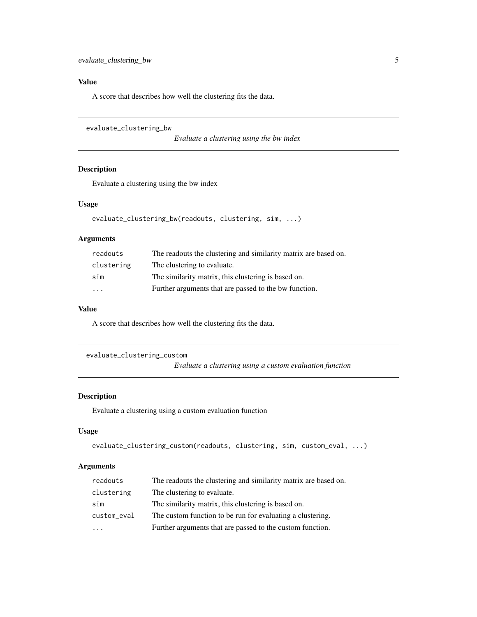<span id="page-4-0"></span>A score that describes how well the clustering fits the data.

```
evaluate_clustering_bw
```
*Evaluate a clustering using the bw index*

### Description

Evaluate a clustering using the bw index

#### Usage

```
evaluate_clustering_bw(readouts, clustering, sim, ...)
```
#### Arguments

| readouts                | The readouts the clustering and similarity matrix are based on. |
|-------------------------|-----------------------------------------------------------------|
| clustering              | The clustering to evaluate.                                     |
| sim                     | The similarity matrix, this clustering is based on.             |
| $\cdot$ $\cdot$ $\cdot$ | Further arguments that are passed to the bw function.           |

#### Value

A score that describes how well the clustering fits the data.

```
evaluate_clustering_custom
```
*Evaluate a clustering using a custom evaluation function*

### Description

Evaluate a clustering using a custom evaluation function

### Usage

```
evaluate_clustering_custom(readouts, clustering, sim, custom_eval, ...)
```

| readouts    | The readouts the clustering and similarity matrix are based on. |
|-------------|-----------------------------------------------------------------|
| clustering  | The clustering to evaluate.                                     |
| sim         | The similarity matrix, this clustering is based on.             |
| custom_eval | The custom function to be run for evaluating a clustering.      |
| .           | Further arguments that are passed to the custom function.       |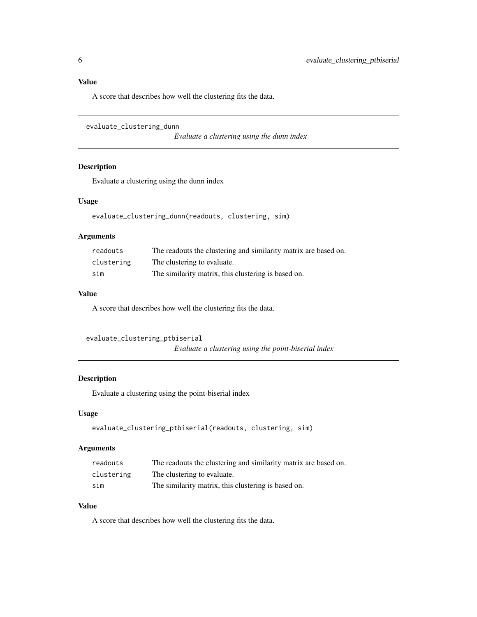<span id="page-5-0"></span>A score that describes how well the clustering fits the data.

```
evaluate_clustering_dunn
```
*Evaluate a clustering using the dunn index*

### Description

Evaluate a clustering using the dunn index

### Usage

evaluate\_clustering\_dunn(readouts, clustering, sim)

### Arguments

| readouts   | The readouts the clustering and similarity matrix are based on. |
|------------|-----------------------------------------------------------------|
| clustering | The clustering to evaluate.                                     |
| sim        | The similarity matrix, this clustering is based on.             |

#### Value

A score that describes how well the clustering fits the data.

```
evaluate_clustering_ptbiserial
                          Evaluate a clustering using the point-biserial index
```
### Description

Evaluate a clustering using the point-biserial index

#### Usage

```
evaluate_clustering_ptbiserial(readouts, clustering, sim)
```
#### Arguments

| readouts   | The readouts the clustering and similarity matrix are based on. |
|------------|-----------------------------------------------------------------|
| clustering | The clustering to evaluate.                                     |
| sim        | The similarity matrix, this clustering is based on.             |

### Value

A score that describes how well the clustering fits the data.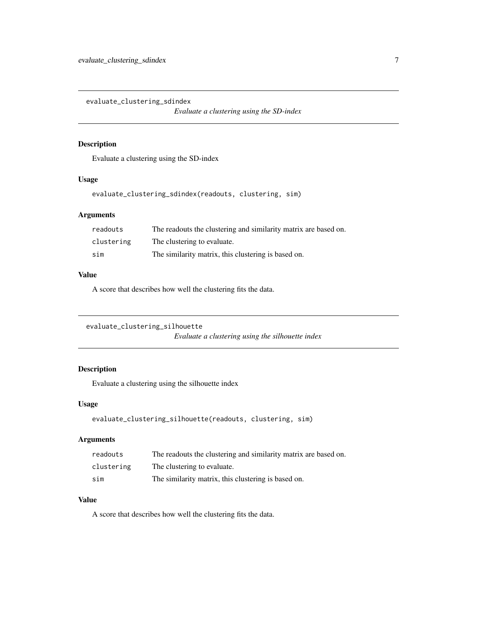<span id="page-6-0"></span>evaluate\_clustering\_sdindex

*Evaluate a clustering using the SD-index*

### Description

Evaluate a clustering using the SD-index

### Usage

evaluate\_clustering\_sdindex(readouts, clustering, sim)

### Arguments

| readouts   | The readouts the clustering and similarity matrix are based on. |
|------------|-----------------------------------------------------------------|
| clustering | The clustering to evaluate.                                     |
| sim        | The similarity matrix, this clustering is based on.             |

### Value

A score that describes how well the clustering fits the data.

```
evaluate_clustering_silhouette
                         Evaluate a clustering using the silhouette index
```
### Description

Evaluate a clustering using the silhouette index

### Usage

```
evaluate_clustering_silhouette(readouts, clustering, sim)
```
#### Arguments

| readouts   | The readouts the clustering and similarity matrix are based on. |
|------------|-----------------------------------------------------------------|
| clustering | The clustering to evaluate.                                     |
| sim        | The similarity matrix, this clustering is based on.             |

### Value

A score that describes how well the clustering fits the data.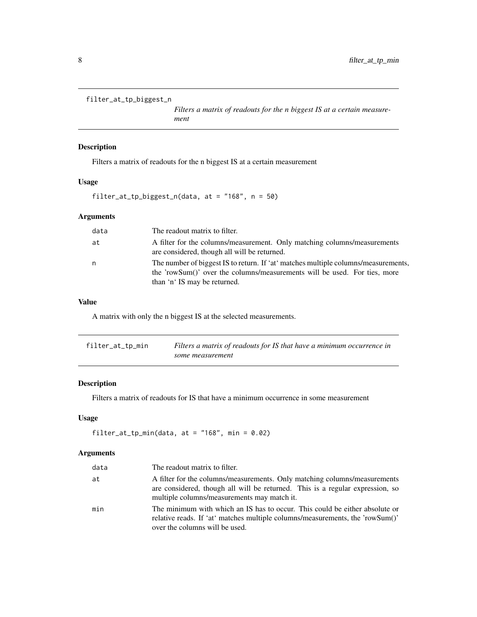```
filter_at_tp_biggest_n
```
*Filters a matrix of readouts for the n biggest IS at a certain measurement*

#### Description

Filters a matrix of readouts for the n biggest IS at a certain measurement

### Usage

filter\_at\_tp\_biggest\_n(data, at = "168", n = 50)

### Arguments

| data | The readout matrix to filter.                                                                                                                                                                   |
|------|-------------------------------------------------------------------------------------------------------------------------------------------------------------------------------------------------|
| at   | A filter for the columns/measurement. Only matching columns/measurements<br>are considered, though all will be returned.                                                                        |
| n    | The number of biggest IS to return. If 'at' matches multiple columns/measurements,<br>the 'rowSum()' over the columns/measurements will be used. For ties, more<br>than 'n' IS may be returned. |

### Value

A matrix with only the n biggest IS at the selected measurements.

| filter_at_tp_min | Filters a matrix of readouts for IS that have a minimum occurrence in |
|------------------|-----------------------------------------------------------------------|
|                  | some measurement                                                      |

### Description

Filters a matrix of readouts for IS that have a minimum occurrence in some measurement

#### Usage

filter\_at\_tp\_min(data, at =  $"168"$ , min = 0.02)

| data | The readout matrix to filter.                                                                                                                                                                             |
|------|-----------------------------------------------------------------------------------------------------------------------------------------------------------------------------------------------------------|
| at   | A filter for the columns/measurements. Only matching columns/measurements<br>are considered, though all will be returned. This is a regular expression, so<br>multiple columns/measurements may match it. |
| min  | The minimum with which an IS has to occur. This could be either absolute or<br>relative reads. If 'at' matches multiple columns/measurements, the 'rowSum()'<br>over the columns will be used.            |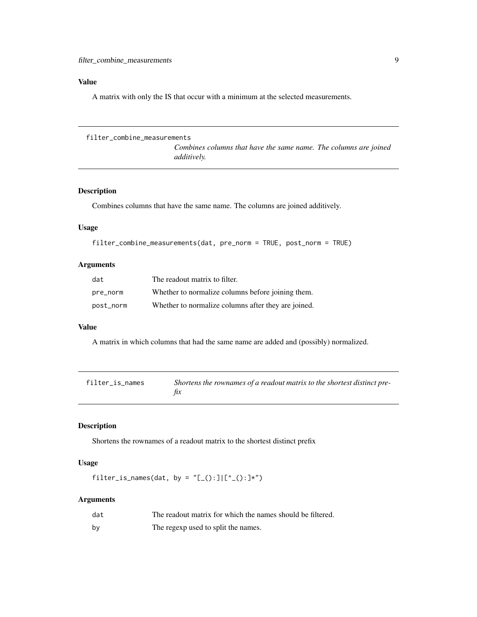<span id="page-8-0"></span>A matrix with only the IS that occur with a minimum at the selected measurements.

```
filter_combine_measurements
```
*Combines columns that have the same name. The columns are joined additively.*

### Description

Combines columns that have the same name. The columns are joined additively.

#### Usage

```
filter_combine_measurements(dat, pre_norm = TRUE, post_norm = TRUE)
```
#### Arguments

| dat       | The readout matrix to filter.                       |
|-----------|-----------------------------------------------------|
| pre_norm  | Whether to normalize columns before joining them.   |
| post_norm | Whether to normalize columns after they are joined. |

#### Value

A matrix in which columns that had the same name are added and (possibly) normalized.

| filter_is_names | Shortens the rownames of a readout matrix to the shortest distinct pre- |
|-----------------|-------------------------------------------------------------------------|
|                 |                                                                         |

#### Description

Shortens the rownames of a readout matrix to the shortest distinct prefix

### Usage

filter\_is\_names(dat, by = "[\_():]|[^\_():]\*")

| dat | The readout matrix for which the names should be filtered. |
|-----|------------------------------------------------------------|
| by  | The regexp used to split the names.                        |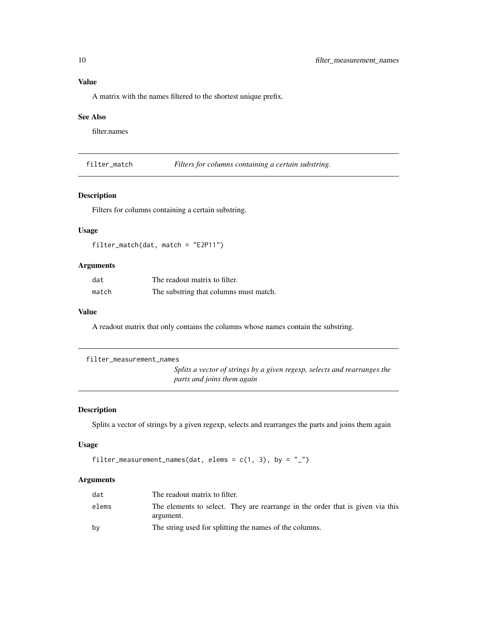<span id="page-9-0"></span>A matrix with the names filtered to the shortest unique prefix.

#### See Also

filter.names

filter\_match *Filters for columns containing a certain substring.*

#### Description

Filters for columns containing a certain substring.

#### Usage

```
filter_match(dat, match = "E2P11")
```
### Arguments

| dat   | The readout matrix to filter.          |
|-------|----------------------------------------|
| match | The substring that columns must match. |

#### Value

A readout matrix that only contains the columns whose names contain the substring.

```
filter_measurement_names
```
*Splits a vector of strings by a given regexp, selects and rearranges the parts and joins them again*

### Description

Splits a vector of strings by a given regexp, selects and rearranges the parts and joins them again

#### Usage

```
filter_measurement_names(dat, elems = c(1, 3), by = "_")
```

| dat   | The readout matrix to filter.                                                               |
|-------|---------------------------------------------------------------------------------------------|
| elems | The elements to select. They are rearrange in the order that is given via this<br>argument. |
| by    | The string used for splitting the names of the columns.                                     |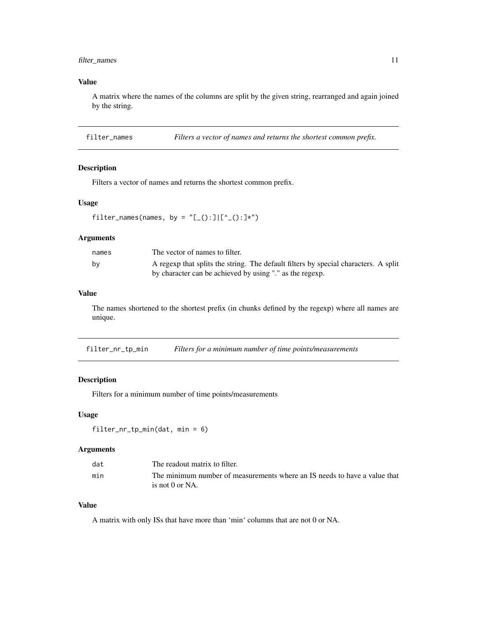### <span id="page-10-0"></span>filter\_names 11

### Value

A matrix where the names of the columns are split by the given string, rearranged and again joined by the string.

filter\_names *Filters a vector of names and returns the shortest common prefix.*

### Description

Filters a vector of names and returns the shortest common prefix.

#### Usage

filter\_names(names, by = " $[\_() : ] [`_() : ]*")$ 

### Arguments

| names | The vector of names to filter.                                                      |
|-------|-------------------------------------------------------------------------------------|
| bv    | A regexp that splits the string. The default filters by special characters. A split |
|       | by character can be achieved by using "." as the regexp.                            |

#### Value

The names shortened to the shortest prefix (in chunks defined by the regexp) where all names are unique.

filter\_nr\_tp\_min *Filters for a minimum number of time points/measurements*

#### Description

Filters for a minimum number of time points/measurements

#### Usage

```
filter_nr_tp_min(dat, min = 6)
```
### Arguments

| dat | The readout matrix to filter.                                             |
|-----|---------------------------------------------------------------------------|
| min | The minimum number of measurements where an IS needs to have a value that |
|     | is not $0$ or NA.                                                         |

### Value

A matrix with only ISs that have more than 'min' columns that are not 0 or NA.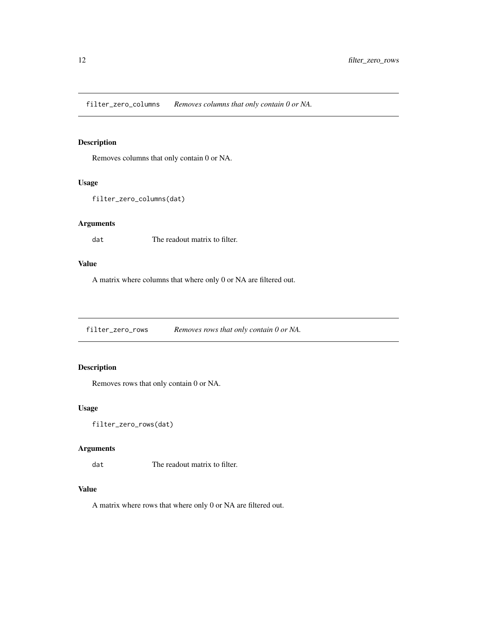<span id="page-11-0"></span>filter\_zero\_columns *Removes columns that only contain 0 or NA.*

### Description

Removes columns that only contain 0 or NA.

#### Usage

```
filter_zero_columns(dat)
```
#### Arguments

dat The readout matrix to filter.

#### Value

A matrix where columns that where only 0 or NA are filtered out.

filter\_zero\_rows *Removes rows that only contain 0 or NA.*

### Description

Removes rows that only contain 0 or NA.

#### Usage

```
filter_zero_rows(dat)
```
### Arguments

dat The readout matrix to filter.

#### Value

A matrix where rows that where only 0 or NA are filtered out.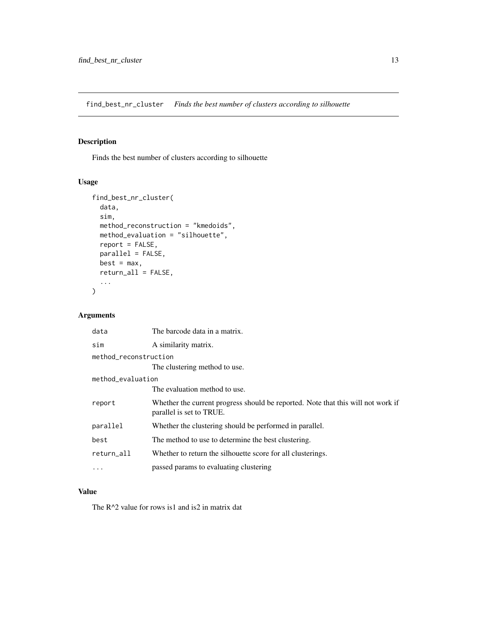<span id="page-12-0"></span>find\_best\_nr\_cluster *Finds the best number of clusters according to silhouette*

### Description

Finds the best number of clusters according to silhouette

### Usage

```
find_best_nr_cluster(
 data,
 sim,
 method_reconstruction = "kmedoids",
 method_evaluation = "silhouette",
 report = FALSE,parallel = FALSE,
 best = max,return_all = FALSE,
  ...
)
```
### Arguments

| data                  | The barcode data in a matrix.                                                                                |  |
|-----------------------|--------------------------------------------------------------------------------------------------------------|--|
| sim                   | A similarity matrix.                                                                                         |  |
| method reconstruction |                                                                                                              |  |
|                       | The clustering method to use.                                                                                |  |
| method_evaluation     |                                                                                                              |  |
|                       | The evaluation method to use.                                                                                |  |
| report                | Whether the current progress should be reported. Note that this will not work if<br>parallel is set to TRUE. |  |
| parallel              | Whether the clustering should be performed in parallel.                                                      |  |
| best                  | The method to use to determine the best clustering.                                                          |  |
| return all            | Whether to return the silhouette score for all clusterings.                                                  |  |
|                       | passed params to evaluating clustering                                                                       |  |
|                       |                                                                                                              |  |

### Value

The R<sup>^2</sup> value for rows is1 and is2 in matrix dat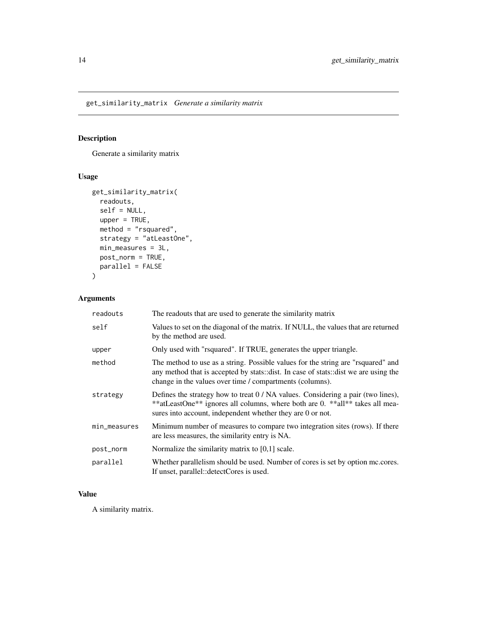<span id="page-13-0"></span>get\_similarity\_matrix *Generate a similarity matrix*

### Description

Generate a similarity matrix

### Usage

```
get_similarity_matrix(
 readouts,
 self = NULL,
 upper = TRUE,method = "rsquared",
 strategy = "atLeastOne",
 min_measures = 3L,
 post_norm = TRUE,
 parallel = FALSE
)
```
### Arguments

| readouts     | The readouts that are used to generate the similarity matrix                                                                                                                                                                        |
|--------------|-------------------------------------------------------------------------------------------------------------------------------------------------------------------------------------------------------------------------------------|
| self         | Values to set on the diagonal of the matrix. If NULL, the values that are returned<br>by the method are used.                                                                                                                       |
| upper        | Only used with "rsquared". If TRUE, generates the upper triangle.                                                                                                                                                                   |
| method       | The method to use as a string. Possible values for the string are "raguared" and<br>any method that is accepted by stats::dist. In case of stats::dist we are using the<br>change in the values over time / compartments (columns). |
| strategy     | Defines the strategy how to treat $0 / NA$ values. Considering a pair (two lines),<br>**atLeastOne** ignores all columns, where both are 0. **all** takes all mea-<br>sures into account, independent whether they are 0 or not.    |
| min_measures | Minimum number of measures to compare two integration sites (rows). If there<br>are less measures, the similarity entry is NA.                                                                                                      |
| post_norm    | Normalize the similarity matrix to $[0,1]$ scale.                                                                                                                                                                                   |
| parallel     | Whether parallelism should be used. Number of cores is set by option mc.cores.<br>If unset, parallel::detectCores is used.                                                                                                          |

### Value

A similarity matrix.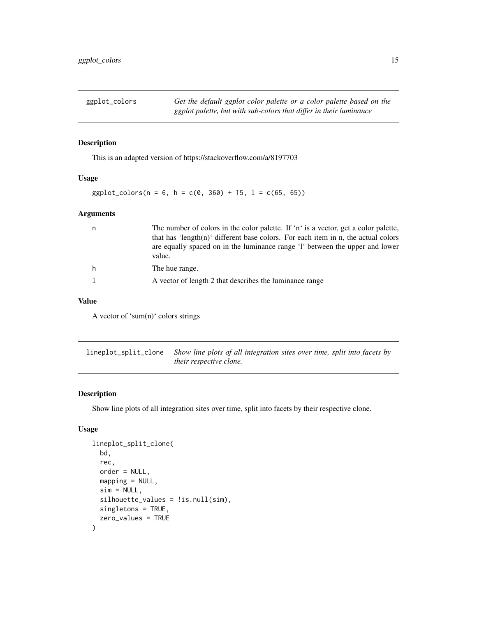<span id="page-14-0"></span>ggplot\_colors *Get the default ggplot color palette or a color palette based on the ggplot palette, but with sub-colors that differ in their luminance*

#### Description

This is an adapted version of https://stackoverflow.com/a/8197703

#### Usage

```
ggplot_{colors}(n = 6, h = c(0, 360) + 15, l = c(65, 65))
```
#### Arguments

|  | The number of colors in the color palette. If 'n' is a vector, get a color palette,    |
|--|----------------------------------------------------------------------------------------|
|  | that has 'length(n)' different base colors. For each item in n, the actual colors      |
|  | are equally spaced on in the luminance range 'l' between the upper and lower<br>value. |
|  | The hue range.                                                                         |
|  | A vector of length 2 that describes the luminance range                                |

### Value

A vector of 'sum(n)' colors strings

lineplot\_split\_clone *Show line plots of all integration sites over time, split into facets by their respective clone.*

### Description

Show line plots of all integration sites over time, split into facets by their respective clone.

### Usage

```
lineplot_split_clone(
 bd,
  rec,
  order = NULL,
 mapping = NULL,sim = NULL,silhouette_values = !is.null(sim),
  singletons = TRUE,
  zero_values = TRUE
)
```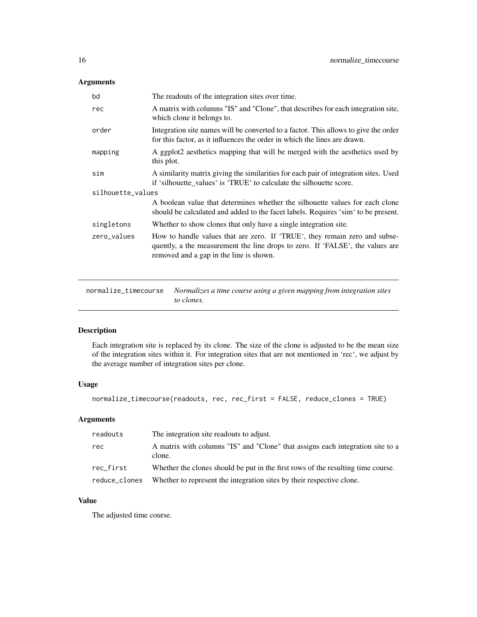### <span id="page-15-0"></span>Arguments

| bd                | The readouts of the integration sites over time.                                                                                                                                                       |  |
|-------------------|--------------------------------------------------------------------------------------------------------------------------------------------------------------------------------------------------------|--|
| rec               | A matrix with columns "IS" and "Clone", that describes for each integration site,<br>which clone it belongs to.                                                                                        |  |
| order             | Integration site names will be converted to a factor. This allows to give the order<br>for this factor, as it influences the order in which the lines are drawn.                                       |  |
| mapping           | A ggplot2 aesthetics mapping that will be merged with the aesthetics used by<br>this plot.                                                                                                             |  |
| sim               | A similarity matrix giving the similarities for each pair of integration sites. Used<br>if 'silhouette values' is 'TRUE' to calculate the silhouette score.                                            |  |
| silhouette_values |                                                                                                                                                                                                        |  |
|                   | A boolean value that determines whether the silhouette values for each clone<br>should be calculated and added to the facet labels. Requires 'sim' to be present.                                      |  |
| singletons        | Whether to show clones that only have a single integration site.                                                                                                                                       |  |
| zero_values       | How to handle values that are zero. If 'TRUE', they remain zero and subse-<br>quently, a the measurement the line drops to zero. If 'FALSE', the values are<br>removed and a gap in the line is shown. |  |

normalize\_timecourse *Normalizes a time course using a given mapping from integration sites to clones.*

### Description

Each integration site is replaced by its clone. The size of the clone is adjusted to be the mean size of the integration sites within it. For integration sites that are not mentioned in 'rec', we adjust by the average number of integration sites per clone.

#### Usage

```
normalize_timecourse(readouts, rec, rec_first = FALSE, reduce_clones = TRUE)
```
### Arguments

| readouts      | The integration site readouts to adjust.                                                 |
|---------------|------------------------------------------------------------------------------------------|
| rec           | A matrix with columns "IS" and "Clone" that assigns each integration site to a<br>clone. |
| rec_first     | Whether the clones should be put in the first rows of the resulting time course.         |
| reduce_clones | Whether to represent the integration sites by their respective clone.                    |

### Value

The adjusted time course.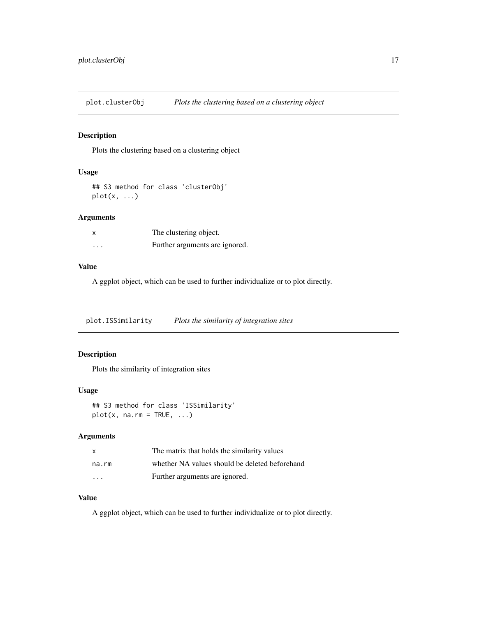<span id="page-16-0"></span>plot.clusterObj *Plots the clustering based on a clustering object*

### Description

Plots the clustering based on a clustering object

### Usage

```
## S3 method for class 'clusterObj'
plot(x, ...)
```
### Arguments

|   | The clustering object.         |
|---|--------------------------------|
| . | Further arguments are ignored. |

### Value

A ggplot object, which can be used to further individualize or to plot directly.

plot.ISSimilarity *Plots the similarity of integration sites*

### Description

Plots the similarity of integration sites

#### Usage

```
## S3 method for class 'ISSimilarity'
plot(x, na.rm = TRUE, ...)
```
### Arguments

| x                       | The matrix that holds the similarity values    |
|-------------------------|------------------------------------------------|
| na.rm                   | whether NA values should be deleted beforehand |
| $\cdot$ $\cdot$ $\cdot$ | Further arguments are ignored.                 |

### Value

A ggplot object, which can be used to further individualize or to plot directly.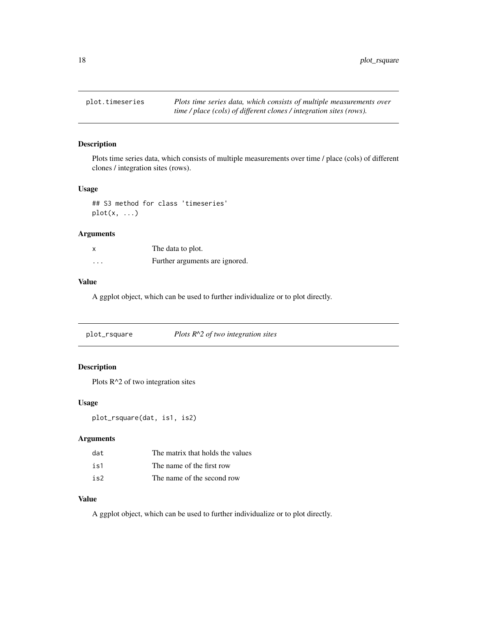<span id="page-17-0"></span>

### Description

Plots time series data, which consists of multiple measurements over time / place (cols) of different clones / integration sites (rows).

#### Usage

## S3 method for class 'timeseries' plot(x, ...)

#### Arguments

|   | The data to plot.              |
|---|--------------------------------|
| . | Further arguments are ignored. |

#### Value

A ggplot object, which can be used to further individualize or to plot directly.

| plot_rsquare | Plots $R^2$ of two integration sites |  |
|--------------|--------------------------------------|--|
|--------------|--------------------------------------|--|

### Description

Plots R<sup>^2</sup> of two integration sites

#### Usage

plot\_rsquare(dat, is1, is2)

#### Arguments

| dat | The matrix that holds the values |
|-----|----------------------------------|
| is1 | The name of the first row        |
| is2 | The name of the second row       |

### Value

A ggplot object, which can be used to further individualize or to plot directly.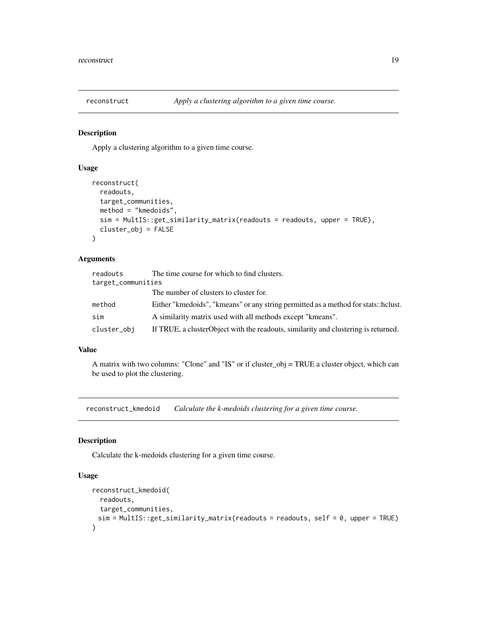<span id="page-18-0"></span>

### Description

Apply a clustering algorithm to a given time course.

#### Usage

```
reconstruct(
  readouts,
  target_communities,
 method = "kmedoids",
 sim = MultIS::get_similarity_matrix(readouts = readouts, upper = TRUE),
  cluster_obj = FALSE
)
```
#### Arguments

| readouts           | The time course for which to find clusters.                                        |
|--------------------|------------------------------------------------------------------------------------|
| target_communities |                                                                                    |
|                    | The number of clusters to cluster for.                                             |
| method             | Either "kmedoids", "kmeans" or any string permitted as a method for stats::helust. |
| sim                | A similarity matrix used with all methods except "kmeans".                         |
| cluster_obi        | If TRUE, a clusterObject with the readouts, similarity and clustering is returned. |

#### Value

A matrix with two columns: "Clone" and "IS" or if cluster\_obj = TRUE a cluster object, which can be used to plot the clustering.

reconstruct\_kmedoid *Calculate the k-medoids clustering for a given time course.*

#### Description

Calculate the k-medoids clustering for a given time course.

### Usage

```
reconstruct_kmedoid(
  readouts,
  target_communities,
 sim = MultIS::get_similarity_matrix(readouts = readouts, self = 0, upper = TRUE)
)
```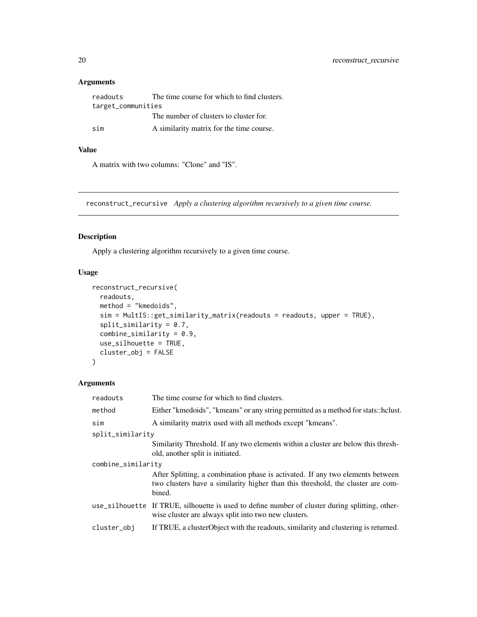### <span id="page-19-0"></span>Arguments

| readouts           | The time course for which to find clusters. |
|--------------------|---------------------------------------------|
| target_communities |                                             |
|                    | The number of clusters to cluster for.      |
| sim                | A similarity matrix for the time course.    |

### Value

A matrix with two columns: "Clone" and "IS".

reconstruct\_recursive *Apply a clustering algorithm recursively to a given time course.*

### Description

Apply a clustering algorithm recursively to a given time course.

### Usage

```
reconstruct_recursive(
 readouts,
 method = "kmedoids",
 sim = MultIS::get_similarity_matrix(readouts = readouts, upper = TRUE),
  split_similarity = 0.7,
  combine_similarity = 0.9,
 use_silhouette = TRUE,
 cluster_obj = FALSE
\mathcal{L}
```

| readouts           | The time course for which to find clusters.                                                                                                                                 |  |
|--------------------|-----------------------------------------------------------------------------------------------------------------------------------------------------------------------------|--|
| method             | Either "kmedoids", "kmeans" or any string permitted as a method for stats::helust.                                                                                          |  |
| sim                | A similarity matrix used with all methods except "kmeans".                                                                                                                  |  |
| split_similarity   |                                                                                                                                                                             |  |
|                    | Similarity Threshold. If any two elements within a cluster are below this thresh-<br>old, another split is initiated.                                                       |  |
| combine_similarity |                                                                                                                                                                             |  |
|                    | After Splitting, a combination phase is activated. If any two elements between<br>two clusters have a similarity higher than this threshold, the cluster are com-<br>bined. |  |
|                    | use_silhouette If TRUE, silhouette is used to define number of cluster during splitting, other-<br>wise cluster are always split into two new clusters.                     |  |
| cluster_obj        | If TRUE, a cluster Object with the readouts, similarity and clustering is returned.                                                                                         |  |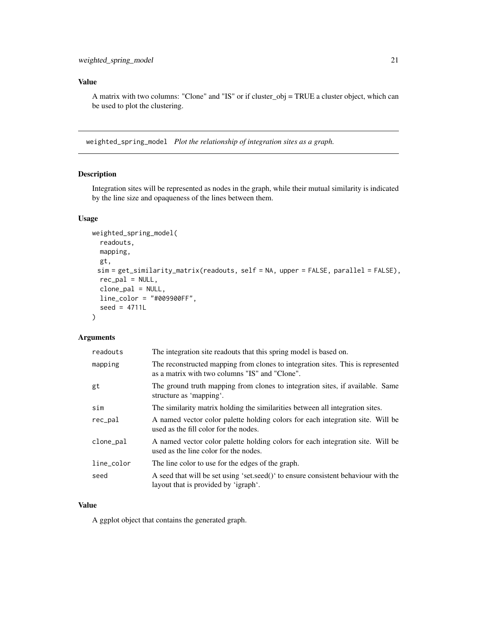<span id="page-20-0"></span>A matrix with two columns: "Clone" and "IS" or if cluster\_obj = TRUE a cluster object, which can be used to plot the clustering.

weighted\_spring\_model *Plot the relationship of integration sites as a graph.*

### Description

Integration sites will be represented as nodes in the graph, while their mutual similarity is indicated by the line size and opaqueness of the lines between them.

### Usage

```
weighted_spring_model(
  readouts,
 mapping,
 gt,
 sim = get_similarity_matrix(readouts, self = NA, upper = FALSE, parallel = FALSE),
  rec\_pal = NULL,clone_pal = NULL,
 line_color = "#009900FF",
  seed = 4711L
)
```
#### Arguments

| readouts   | The integration site readouts that this spring model is based on.                                                                 |
|------------|-----------------------------------------------------------------------------------------------------------------------------------|
| mapping    | The reconstructed mapping from clones to integration sites. This is represented<br>as a matrix with two columns "IS" and "Clone". |
| gt         | The ground truth mapping from clones to integration sites, if available. Same<br>structure as 'mapping'.                          |
| sim        | The similarity matrix holding the similarities between all integration sites.                                                     |
| rec_pal    | A named vector color palette holding colors for each integration site. Will be<br>used as the fill color for the nodes.           |
| clone_pal  | A named vector color palette holding colors for each integration site. Will be<br>used as the line color for the nodes.           |
| line_color | The line color to use for the edges of the graph.                                                                                 |
| seed       | A seed that will be set using 'set.seed()' to ensure consistent behaviour with the<br>layout that is provided by 'igraph'.        |

### Value

A ggplot object that contains the generated graph.